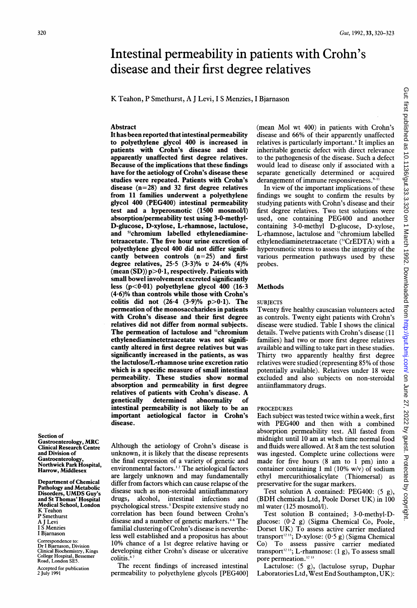# Intestinal permeability in patients with Crohn's disease and their first degree relatives

K Teahon, P Smethurst, A <sup>J</sup> Levi, <sup>I</sup> <sup>S</sup> Menzies, <sup>I</sup> Bjarnason

#### Abstract

It has been reported that intestinal permeability to polyethylene glycol 400 is increased in patients with Crohn's disease and their apparently unaffected first degree relatives. Because of the implications that these findings have for the aetiology of Crohn's disease these studies were repeated. Patients with Crohn's disease  $(n=28)$  and 32 first degree relatives from 11 families underwent a polyethylene glycol 400 (PEG400) intestinal permeability test and a hyperosmotic (1500 mosmol/l) absorption/permeability test using 3-0-methyl-D-glucose, D-xylose, L-rhamnose, lactulose, and 5"chromium labelled ethylenediaminetetraacetate. The five hour urine excretion of polyethylene glycol 400 did not differ significantly between controls  $(n=25)$  and first degree relatives, 25.5 (3.3)% v 24.6% (4)% (mean  $(SD)$ )  $p>0.1$ , respectively. Patients with small bowel involvement excreted significantly less  $(p<0.01)$  polyethylene glycol 400  $(16.3)$ (4.6)% than controls while those with Crohn's colitis did not  $(26.4 (3.9)\% p>0.1)$ . The permeation of the monosaccharides in patients with Crohn's disease and their first degree relatives did not differ from normal subjects. The permeation of lactulose and <sup>51</sup>chromium ethylenediaminetetraacetate was not significantly altered in first degree relatives but was significantly increased in the patients, as was the lactulose/L-rhamnose urine excretion ratio which is a specific measure of small intestinal permeability. These studies show normal absorption and permeability in first degree relatives of patients with Crohn's disease. A determined abnormality of intestinal permeability is not likely to be an important aetiological factor in Crohn's disease.

Section of Gastroenterology, MRC Clinical Research Centre and Division of Gastroenterology, Northwick Park Hospital, Harrow, Middlesex

Department of Chemical Pathology and Metabolic Disorders, UMDS Guy's and St Thomas' Hospital Medical School, London K Teahon P Smethurst A <sup>J</sup> Levi **Menzies** <sup>I</sup> Bjarnason

Correspondence to: Dr <sup>I</sup> Bjarnason, Division Clinical Biochemistry, Kings College Hospital, Bessemer Road, London SE5.

Accepted for publication 2 July 1991

Although the aetiology of Crohn's disease is unknown, it is likely that the disease represents the final expression of a variety of genetic and environmental factors.<sup>12</sup> The aetiological factors are largely unknown and may fundamentally differ from factors which can cause relapse of the disease such as non-steroidal antiinflammatory drugs, alcohol, intestinal infections and psychological stress.3 Despite extensive study no correlation has been found between Crohn's disease and a number of genetic markers.<sup>+6</sup> The familial clustering of Crohn's disease is nevertheless well established and a propositus has about 10% chance of a 1st degree relative having or developing either Crohn's disease or ulcerative colitis.<sup>67</sup>

The recent findings of increased intestinal permeability to polyethylene glycols [PEG400] (mean Mol wt 400) in patients with Crohn's disease and 66% of their apparently unaffected relatives is particularly important.<sup>8</sup> It implies an inheritable genetic defect with direct relevance to the pathogenesis of the disease. Such a defect would lead to disease only if associated with a separate genetically determined or acquired derangement of immune responsiveness. $9-11$ 

In view of the important implications of these findings we sought to confirm the results by studying patients with Crohn's disease and their first degree relatives. Two test solutions were used, one containing PEG400 and another containing 3-0-methyl D-glucose, D-xylose, L-rhamnose, lactulose and <sup>51</sup>chromium labelled ethylenediaminetetraacetate (51CrEDTA) with a hyperosmotic stress to assess the integrity of the various permeation pathways used by these probes.

### Methods

#### **SUBJECTS**

Twenty five healthy causcasian volunteers acted as controls. Twenty eight patients with Crohn's disease were studied. Table <sup>I</sup> shows the clinical details. Twelve patients with Crohn's disease ( <sup>11</sup> families) had two or more first degree relatives available and willing to take part in these studies. Thirty two apparently healthy first degree relatives were studied (representing 85% of those potentially available). Relatives under 18 were excluded and also subjects on non-steroidal antiinflammatory drugs.

#### **PROCEDURES**

Each subject was tested twice within a week, first with PEG400 and then with <sup>a</sup> combined absorption permeability test. All fasted from midnight until <sup>10</sup> am at whch time normal food and fluids were allowed. At <sup>8</sup> am the test solution was ingested. Complete urine collections were made for five hours (8 am to <sup>1</sup> pm) into <sup>a</sup> container containing <sup>1</sup> ml (10% w/v) of sodium ethyl mercurithiosalicylate (Thiomersal) as preservative for the sugar markers.

Test solution A contained: PEG400: (5 g), (BDH chemicals Ltd, Poole Dorset UK) in <sup>100</sup> ml water (125 mosmol/l).

Test solution B contained; 3-0-methyl-Dglucose: (0-2 g) (Sigma Chemical Co, Poole, Dorset UK) To assess active carrier mediated transport<sup>1243</sup>; D-xylose:  $(0.5 g)$  (Sigma Chemical Co) To assess passive carrier mediated transport<sup>12.13</sup>; L-rhamnose:  $(1 g)$ , To assess small pore permeation.<sup>12</sup><sup>13</sup>

Lactulose: (5 g), (lactulose syrup, Duphar Laboratories Ltd, West End Southampton, UK):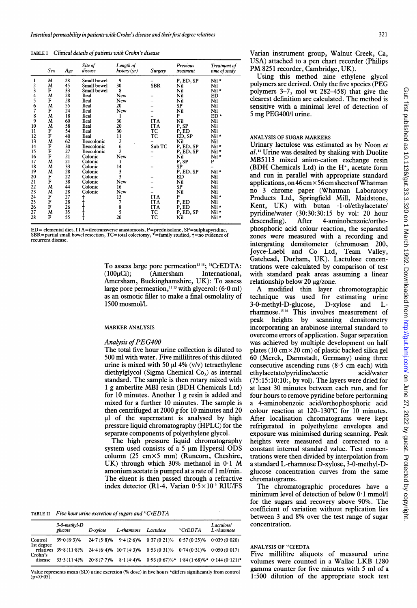TABLE I Clinical details of patients with Crohn's disease

|               | Sex | Age | Site of<br>disease | Length of<br>history $(yr)$ | Surgery    | Previous<br>treatment | Treatment of<br>time of study |
|---------------|-----|-----|--------------------|-----------------------------|------------|-----------------------|-------------------------------|
| ı             | M   | 28  | Small bowel        | 9                           |            | P, ED, SP             | Nil *                         |
| 2<br>3        | M   | 45  | Small bowel        | 30                          | <b>SBR</b> | Nil                   | Nil                           |
|               | F   | 33  | Small bowel        | 8                           |            | Nil                   | Nil *                         |
| 4             | M   | 28  | <b>Ileal</b>       | New                         |            | Nil                   | ED                            |
| 5             | F   | 28  | Ileal              | New                         |            | Nil                   | Nil                           |
| $\frac{6}{7}$ | M   | 55  | Ileal              | 20                          |            | SP                    | Nil                           |
|               | F   | 24  | Ileal              | New                         |            | Nil                   | Nil                           |
| $\frac{8}{9}$ | M   | 18  | Ileal              | 1                           |            | P                     | $ED*$                         |
|               | M   | 60  | Ileal              | 30                          | <b>ITA</b> | Nil                   | Nil                           |
| 10            | M   | 58  | Ileal              | 20                          | <b>ITA</b> | P, SP                 | Nil                           |
| 11            | F   | 54  | Ileal              | 30                          | TC         | P, ED                 | Nil                           |
| 12            | F   | 40  | Ileal              | 11                          | TC         | ED, SP                | Nil*                          |
| 13            | M   | 62  | Ileocolonic        | 2                           |            | Nil                   | Nil                           |
| 14            | F   | 30  | Ileocolonic        | 6                           | Sub TC     | P, ED, SP             | Nil*                          |
| 15            | F   | 27  | Ileocolonic        | 2                           |            | P, ED, SP             | Nil*                          |
| 16            | F   | 21  | Colonic            | New                         |            | Nil                   | Nil *                         |
| 17            | M   | 21  | Colonic            | 1                           |            | P, SP                 | P                             |
| 18            | M   | 33  | Colonic            | 14                          |            | SP                    |                               |
| 19            | M   | 28  | Colonic            | 3                           |            | P, ED, SP             | Nil*                          |
| 20            | F   | 22  | Colonic            | 3                           |            | ED                    | Nil                           |
| 21            | F   | 38  | Colonic            | <b>New</b>                  |            | Nil                   | Nil                           |
| 22            | M   | 44  | Colonic            | 16                          |            | SP                    | Nil                           |
| 23            | M   | 28  | Colonic            | <b>New</b>                  |            | Nil                   | Nil                           |
| 24            | F   | 27  |                    | 13                          | <b>ITA</b> | P                     | Nil *                         |
| 25            | F   | 28  |                    | 7                           | <b>ITA</b> | P, ED                 | Nil                           |
| 26            | F   | 26  |                    |                             | <b>ITA</b> | P, ED                 | Nil *                         |
| 27            | M   | 35  |                    | 8<br>5                      | TC         | P, ED, SP             | Nil *                         |
| 28            | F   | 55  |                    | 20                          | TC         | Nil                   | Nil*                          |

ED= elemental diet, ITA=ileotransverse anastomosis, P=prednisolone, SP=sulphapyridine,<br>SBR=partial small bowel resection, TC=total colectomy, \*=family studied, †=no evidence of recurrent disease.

To assess large pore permeation<sup>12 13</sup>; <sup>51</sup>CrEDTA:  $(100\mu\text{Ci});$   $(Amersham$  International, Amersham, Buckinghamshire, UK): To assess large pore permeation,<sup>12 13</sup> with glycerol:  $(6.0 \text{ ml})$ as an osmotic filler to make a final osmolality of 1500 mosmol/l.

#### MARKER ANALYSIS

#### Analysis of PEG400

The total five hour urine collection is diluted to 500 ml with water. Five millilitres of this diluted urine is mixed with 50  $\mu$ l 4% (v/v) tetraethylene diethylglycol (Sigma Chemical Co,) as internal standard. The sample is then rotary mixed with <sup>1</sup> g amberlite MBI resin (BDH Chemicals Ltd) for 10 minutes. Another <sup>1</sup> g resin is added and mixed for a further 10 minutes. The sample is then centrifuged at 2000 g for 10 minutes and 20  $\mu$ l of the supernatant is analysed by high pressure liquid chromatography (HPLC) for the separate components of polyethylene glycol.

The high pressure liquid chromatography system used consists of a 5  $\mu$ m Hypersil ODS column (25 cmx5 mm) (Runcorn, Cheshire, UK) through which 30% methanol in 0-1 M amonium acetate is pumped at a rate of <sup>1</sup> ml/min. The eluent is then passed through a refractive index detector (R1-4, Varian  $0.5 \times 10^{-5}$  RIU/FS

TABLE II Five hour urine excretion of sugars and  ${}^{51}CrEDTA$ 

|                    | 3-0-methyl-D<br>glucose | D-xvlose      | L-rhamnose | Lactulose                                                                              | "CFEDTA | Lactulose/<br>L-rhamnose |
|--------------------|-------------------------|---------------|------------|----------------------------------------------------------------------------------------|---------|--------------------------|
| Control            | $39.0(8.3)\%$           |               |            | $24.7(5.8)\%$ 9.4 $(2.6)\%$ 0.37 $(0.21)\%$ 0.57 $(0.25)\%$ 0.039 $(0.020)$            |         |                          |
| Ist degree         |                         |               |            | relatives 39.8 (11.8)% 24.4 (6.4)% 10.7 (4.3)% 0.53 (0.31)% 0.74 (0.31)% 0.050 (0.017) |         |                          |
| Crohn's<br>disease | $33.3(11.4)\%$          | $20.8(7.7)\%$ |            | $8.1(4.4)\%$ 0.93 $(0.67)\%$ * 1.84 $(1.68)\%$ * 0.144 $(0.121)$ *                     |         |                          |

Value represents mean (SD) urine excretion (% dose) in five hours \*differs significantly from control  $(n<0.05)$ 

Varian instrument group, Walnut Creek, Ca, USA) attached to a pen chart recorder (Philips PM <sup>8251</sup> recorder, Cambridge, UK).

Using this method nine ethylene glycol polymers are derived. Only the five species (PEG polymers 3-7, mol wt 282-458) that give the clearest definition are calculated. The method is sensitive with a minimal level of detection of <sup>5</sup> mg PEG400/1 urine.

## ANALYSIS OF SUGAR MARKERS

Urinary lactulose was estimated as by Noon et  $al$ .<sup>14</sup> Urine was desalted by shaking with Duolite MB5113 mixed anion-cation exchange resin (BDH Chemicals Ltd) in the  $H^*$ , acetate form and run in parallel with appropriate standard applications, on  $46 \text{ cm} \times 56 \text{ cm}$  sheets of Whatman no 3 chrome paper (Whatman Laboratory Products Ltd, Springfield Mill, Maidstone, Kent, UK) with butan -1-ol/ethylacetate/ pyridine/water (30:30:30:15 by vol: 20 hour descending). After 4-aminobenzoic/orthodescending). After 4-aminobenzoic/orthophosphoric acid colour reaction, the separated zones were measured with a recording and intergrating densitometer (chromosan 200, Joyce-Laebl and Co Ltd, Team Valley, Gatehead, Durham, UK). Lactulose concentrations were calculated by comparison of test with standard peak areas assuming a linear relationship below  $20 \mu g$ /zone.

A modified thin layer chromotographic technique was used for estimating urine 3-0-methyl-D-glucose, D-xylose and Lrhamnose.<sup>15 16</sup> This involves measurement of peak heights by scanning densitometry incorporating an arabinose internal standard to overcome errors of application. Sugar separation was achieved by multiple development on half plates (10 cm $\times$ 20 cm) of plastic backed silica gel 60 (Merck, Darmstadt, Germany) using three consecutive ascending runs  $(8.5 \text{ cm each})$  with ethylacetate/pyridine/acetic acid/water  $(75:15:10:10;$ , by vol). The layers were dried for at least 30 minutes between each run, and for four hours to remove pyridine before performing a 4-aminobenzoic acid/orthophosphoric acid colour reaction at 120-130°C for 10 minutes. After localisation chromatograms were kept refrigerated in polyethylene envelopes and exposure was minimised during scanning. Peak heights were measured and corrected to a constant internal standard value. Test concentrations were then divided by interpolation from a standard L-rhamnose D-xylose, 3-0-methyl-Dglucose concentration curves from the same chromatograms.

The chromatographic procedures have a minimum level of detection of below  $0.1$  mmol/l for the sugars and recovery above 90%. The coefficient of variation without replication lies between <sup>3</sup> and 8% over the test range of sugar concentration.

# ANALYSIS OF 5'CrEDTA

Five millilitre aliquots of measured urine volumes were counted in <sup>a</sup> Wallac LKB <sup>1280</sup> gamma counter for five minutes with <sup>5</sup> ml of <sup>a</sup> 1:500 dilution of the appropriate stock test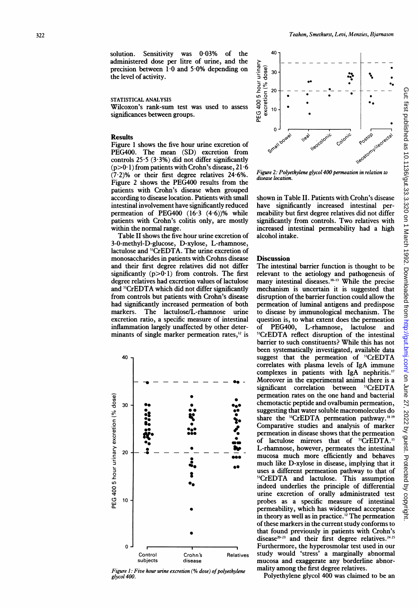solution. Sensitivity was 0-03% of the administered dose per litre of urine, and the precision between  $1.0$  and  $5.0\%$  depending on the level of activity.

### STATISTICAL ANALYSIS

Wilcoxon's rank-sum test was used to assess significances between groups.

#### Results

Figure <sup>1</sup> shows the five hour urine excretion of PEG400. The mean (SD) excretion from controls  $25.5$  (3.3%) did not differ significantly  $(p>0.1)$  from patients with Crohn's disease, 21.6  $(7.2)$ % or their first degree relatives 24.6%. Figure 2 shows the PEG400 results from the patients with Crohn's disease when grouped according to disease location. Patients with small intestinal involvement have significantly reduced permeation of PEG400 (16 3 (4-6))% while patients with Crohn's colitis only, are mostly within the normal range.

Table II shows the five hour urine excretion of 3-0-methyl-D-glucose, D-xylose, L-rhamnose, lactulose and <sup>51</sup>CrEDTA. The urine excretion of monosaccharides in patients with Crohns disease Discussion and their first degree relatives did not differ significantly  $(p>0.1)$  from controls. The first degree re and <sup>51</sup>CrEDTA which did not differ significantly from controls but patients with Crohn's disease had significantly increased permeation of both markers excretion ratio, minants of single marker permeation rates, $12$  is



Figure 1: Five hour urine excretion  $(\%$  dose) of polyethylene mality among the first degree relatives. glycol 400



Figure 2: Polyethylene glycol 400 permeation in relation to disease location

shown in Table IL. Patients with Crohn's disease have significantly increased intestinal permeability but first degree relatives did not differ significantly from controls. Two relatives with increased intestinal permeability had a high alcohol intake.

inflamm kation largely unaffected by other deter- of PEG400, L-rhamnose, lactulose and The intestinal barrier function is thought to be relevant to the aetiology and pathogenesis of many intestinal diseases.<sup>10-13</sup> While the precise mechanism is uncertain it is suggested that disruption of the barrier function could allow the cantly increased permeation of both permeation of luminal antigens and predispose<br>The lactulose/L-rhamnose urine to disease by immunological mechanism. The to disease by immunological mechanism. The question is, to what extent does the permeation <sup>51</sup>CrEDTA reflect disruption of the intestinal barrier to such constituents? While this has not been systematically investigated, available data suggest that the permeation of "CrEDTA correlates with plasma levels of IgA immune complexes in patients with IgA nephritis.<sup>17</sup>  $\equiv$   $\bullet$   $\bullet$  - Moreover in the experimental animal there is a significant correlation between <sup>51</sup>CrEDTA permeation rates on the one hand and bacterial chemotactic peptide and ovalbumin permeation, suggesting that water soluble macromolecules do share the <sup>51</sup>CrEDTA permeation pathway.<sup>1819</sup> Comparative studies and analysis of marker permeation in disease shows that the permeation of lactulose mirrors that of <sup>51</sup>CrEDTA.<sup>15</sup> L-rhamnose, however, permeates the intestinal mucosa much more efficiently and behaves on much like D-xylose in disease, implying that it uses a different permeation pathway to that of <sup>51</sup>CrEDTA and lactulose. This assumption indeed underlies the principle of differential urine excretion of orally administrated test probes as a specific measure of intestinal permeability, which has widespread acceptance in theory as well as in practice.<sup>12</sup> The permeation of these markers in the current study conforms to that found previously in patients with Crohn's disease<sup>20-23</sup> and their first degree relatives.<sup>24 25</sup> Furthermore, the hyperosmolar test used in our Control Crohn 's Relatives study would 'stress' a marginally abnormal subjects disease mucosa and exaggerate any borderline abnor-<br>inc hour wine excretion (% dece) of polyethylone mality among the first degree relatives.

Polyethylene glycol 400 was claimed to be an

Gut: first published as 10.1136/gut.33.3.3.3.3.3.3.3.3.3.3.9 on 1 March 1992. Downloaded from http://gut.bmj.com/ on June 27, 2022 by guest. Protected by copyright Gut: first published as 10.1136/gut.33.3.32.3.32.3.320 on 1 March 1992. Downloaded from <http://gut.bmj.com/> on June 27, 2022 by guest. Protected by copyright.